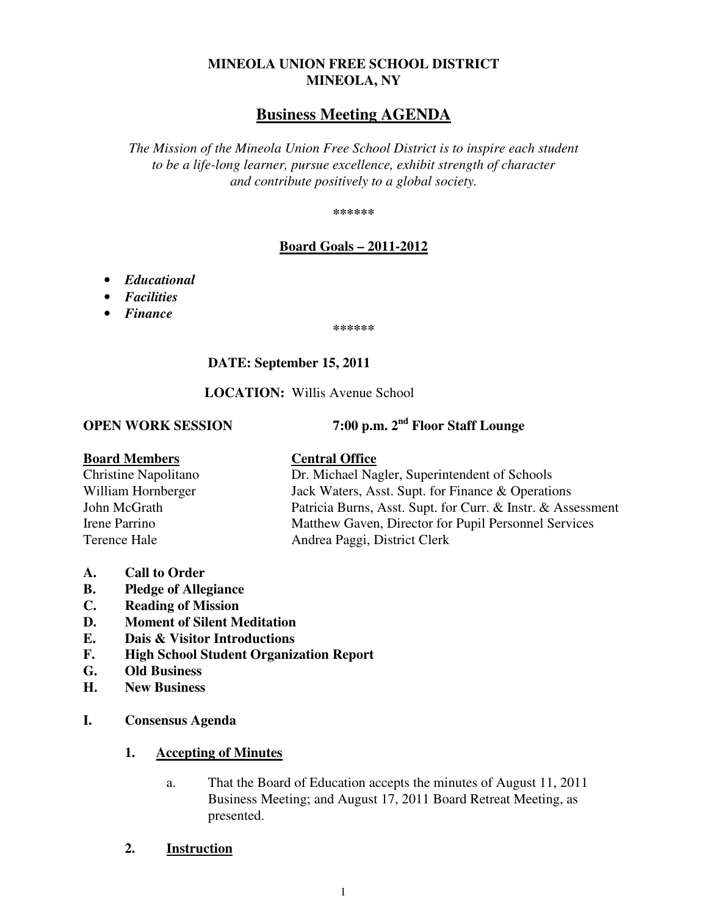## **MINEOLA UNION FREE SCHOOL DISTRICT MINEOLA, NY**

# **Business Meeting AGENDA**

*The Mission of the Mineola Union Free School District is to inspire each student to be a life-long learner, pursue excellence, exhibit strength of character and contribute positively to a global society.* 

**\*\*\*\*\*\*** 

## **Board Goals – 2011-2012**

- *Educational*
- *Facilities*
- *Finance*

**\*\*\*\*\*\*** 

## **DATE: September 15, 2011**

 **LOCATION:** Willis Avenue School

**OPEN WORK SESSION 7:00 p.m. 2nd Floor Staff Lounge** 

| <b>Board Members</b>        | <b>Central Office</b>                                       |
|-----------------------------|-------------------------------------------------------------|
| <b>Christine Napolitano</b> | Dr. Michael Nagler, Superintendent of Schools               |
| William Hornberger          | Jack Waters, Asst. Supt. for Finance & Operations           |
| John McGrath                | Patricia Burns, Asst. Supt. for Curr. & Instr. & Assessment |
| Irene Parrino               | Matthew Gaven, Director for Pupil Personnel Services        |
| Terence Hale                | Andrea Paggi, District Clerk                                |
|                             |                                                             |

- **A. Call to Order**
- **B. Pledge of Allegiance**
- **C. Reading of Mission**
- **D. Moment of Silent Meditation**
- **E. Dais & Visitor Introductions**
- **F. High School Student Organization Report**
- **G. Old Business**
- **H. New Business**
- **I. Consensus Agenda**

#### **1. Accepting of Minutes**

- a. That the Board of Education accepts the minutes of August 11, 2011 Business Meeting; and August 17, 2011 Board Retreat Meeting, as presented.
- **2. Instruction**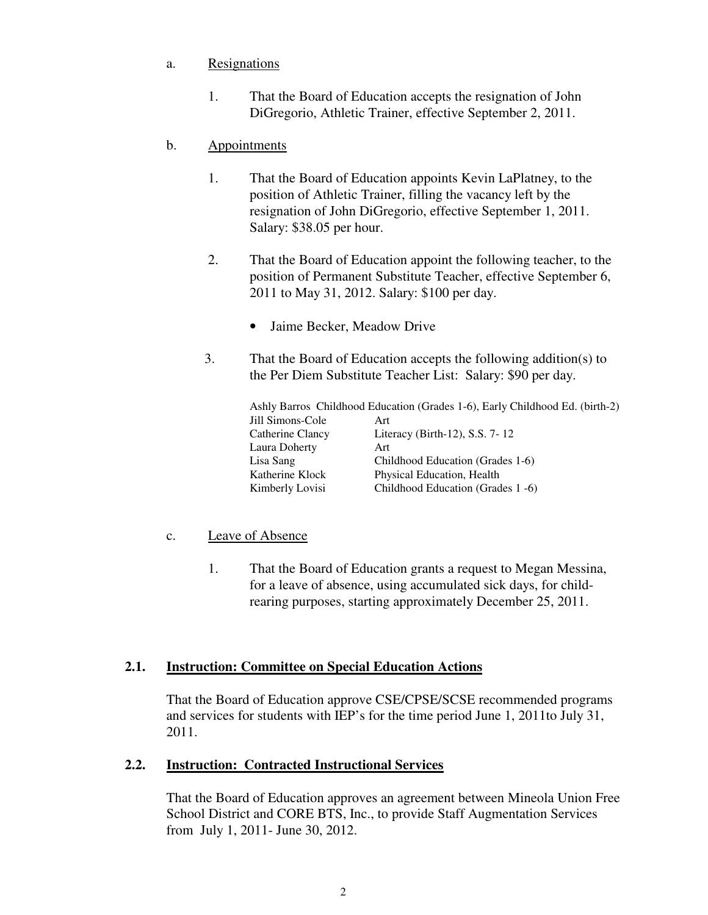## a. Resignations

 1. That the Board of Education accepts the resignation of John DiGregorio, Athletic Trainer, effective September 2, 2011.

## b. Appointments

- 1. That the Board of Education appoints Kevin LaPlatney, to the position of Athletic Trainer, filling the vacancy left by the resignation of John DiGregorio, effective September 1, 2011. Salary: \$38.05 per hour.
- 2. That the Board of Education appoint the following teacher, to the position of Permanent Substitute Teacher, effective September 6, 2011 to May 31, 2012. Salary: \$100 per day.
	- Jaime Becker, Meadow Drive
- 3. That the Board of Education accepts the following addition(s) to the Per Diem Substitute Teacher List: Salary: \$90 per day.

 Ashly Barros Childhood Education (Grades 1-6), Early Childhood Ed. (birth-2) Jill Simons-Cole Art Catherine Clancy Literacy (Birth-12), S.S. 7- 12 Laura Doherty Art Lisa Sang Childhood Education (Grades 1-6) Katherine Klock Physical Education, Health Kimberly Lovisi Childhood Education (Grades 1 -6)

#### c. Leave of Absence

1. That the Board of Education grants a request to Megan Messina, for a leave of absence, using accumulated sick days, for childrearing purposes, starting approximately December 25, 2011.

#### **2.1. Instruction: Committee on Special Education Actions**

That the Board of Education approve CSE/CPSE/SCSE recommended programs and services for students with IEP's for the time period June 1, 2011to July 31, 2011.

#### **2.2. Instruction: Contracted Instructional Services**

That the Board of Education approves an agreement between Mineola Union Free School District and CORE BTS, Inc., to provide Staff Augmentation Services from July 1, 2011- June 30, 2012.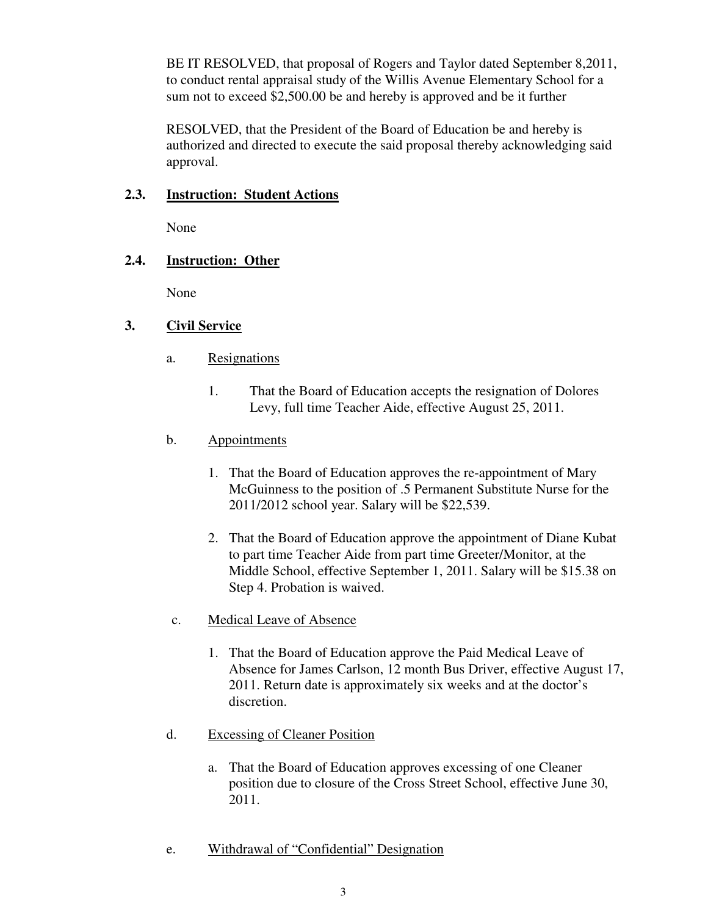BE IT RESOLVED, that proposal of Rogers and Taylor dated September 8,2011, to conduct rental appraisal study of the Willis Avenue Elementary School for a sum not to exceed \$2,500.00 be and hereby is approved and be it further

RESOLVED, that the President of the Board of Education be and hereby is authorized and directed to execute the said proposal thereby acknowledging said approval.

## **2.3. Instruction: Student Actions**

None

## **2.4. Instruction: Other**

None

## **3. Civil Service**

- a. Resignations
	- 1. That the Board of Education accepts the resignation of Dolores Levy, full time Teacher Aide, effective August 25, 2011.
- b. Appointments
	- 1. That the Board of Education approves the re-appointment of Mary McGuinness to the position of .5 Permanent Substitute Nurse for the 2011/2012 school year. Salary will be \$22,539.
	- 2. That the Board of Education approve the appointment of Diane Kubat to part time Teacher Aide from part time Greeter/Monitor, at the Middle School, effective September 1, 2011. Salary will be \$15.38 on Step 4. Probation is waived.
- c. Medical Leave of Absence
	- 1. That the Board of Education approve the Paid Medical Leave of Absence for James Carlson, 12 month Bus Driver, effective August 17, 2011. Return date is approximately six weeks and at the doctor's discretion.
- d. Excessing of Cleaner Position
	- a. That the Board of Education approves excessing of one Cleaner position due to closure of the Cross Street School, effective June 30, 2011.
- e. Withdrawal of "Confidential" Designation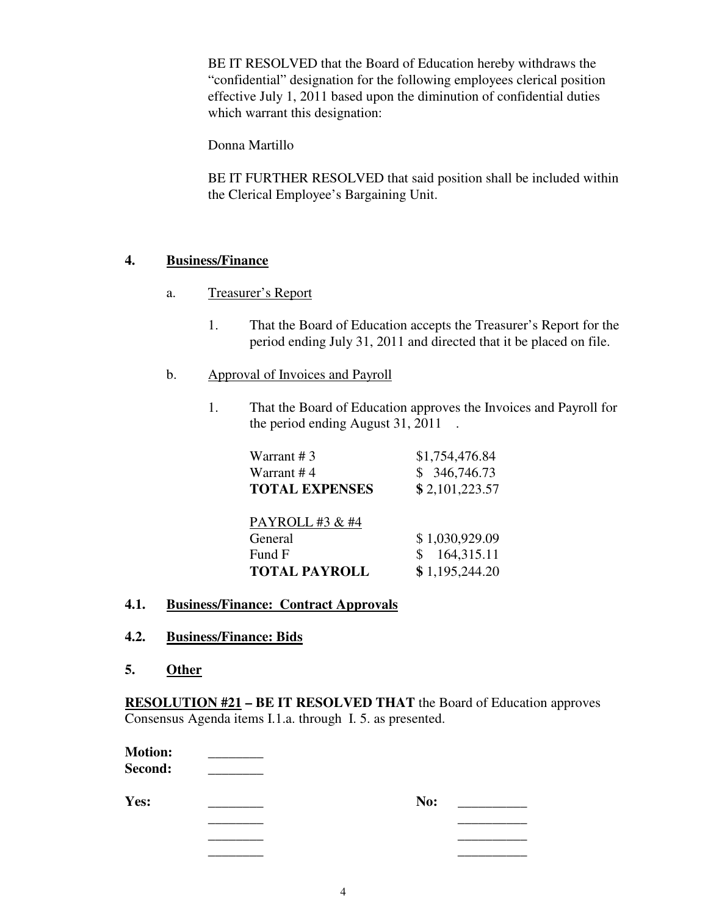BE IT RESOLVED that the Board of Education hereby withdraws the "confidential" designation for the following employees clerical position effective July 1, 2011 based upon the diminution of confidential duties which warrant this designation:

Donna Martillo

BE IT FURTHER RESOLVED that said position shall be included within the Clerical Employee's Bargaining Unit.

## **4. Business/Finance**

- a. Treasurer's Report
	- 1. That the Board of Education accepts the Treasurer's Report for the period ending July 31, 2011 and directed that it be placed on file.
- b. Approval of Invoices and Payroll
	- 1. That the Board of Education approves the Invoices and Payroll for the period ending August 31, 2011 .

| Warrant #3            | \$1,754,476.84 |
|-----------------------|----------------|
| Warrant #4            | \$346,746.73   |
| <b>TOTAL EXPENSES</b> | \$2,101,223.57 |
| PAYROLL #3 & #4       |                |
| General               | \$1,030,929.09 |
| Fund F                | 164,315.11     |
| <b>TOTAL PAYROLL</b>  | \$1,195,244.20 |

### **4.1. Business/Finance: Contract Approvals**

- **4.2. Business/Finance: Bids**
- **5. Other**

**RESOLUTION #21 – BE IT RESOLVED THAT** the Board of Education approves Consensus Agenda items I.1.a. through I. 5. as presented.

| <b>Motion:</b><br>Second: |     |  |
|---------------------------|-----|--|
| Yes:                      | No: |  |

| res: |             | No: |
|------|-------------|-----|
|      | ___________ |     |
|      | __________  |     |

 $\overline{\phantom{a}}$  , which is a set of the contract of the contract of the contract of the contract of the contract of the contract of the contract of the contract of the contract of the contract of the contract of the contract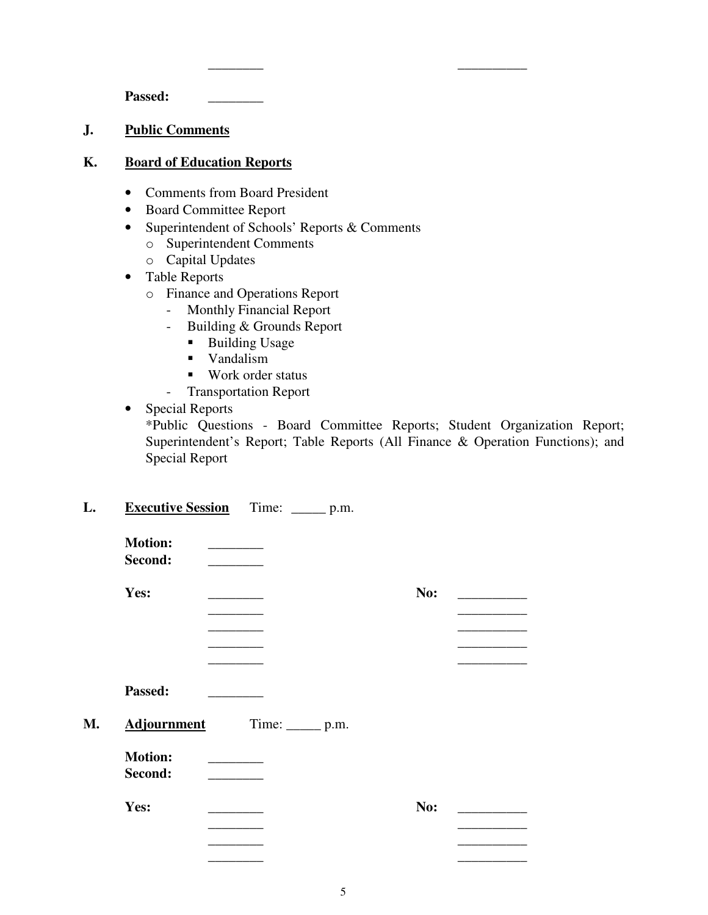Passed:

#### **J. Public Comments**

#### **K. Board of Education Reports**

- Comments from Board President
- Board Committee Report
- Superintendent of Schools' Reports & Comments

 $\overline{\phantom{a}}$  , which is a set of the contract of the contract of the contract of the contract of the contract of the contract of the contract of the contract of the contract of the contract of the contract of the contract

- o Superintendent Comments
- o Capital Updates
- Table Reports
	- o Finance and Operations Report
		- Monthly Financial Report
		- Building & Grounds Report
			- Building Usage
			- **vandalism**
			- Work order status
		- Transportation Report
- Special Reports \*Public Questions - Board Committee Reports; Student Organization Report; Superintendent's Report; Table Reports (All Finance & Operation Functions); and Special Report

#### L. Executive Session Time: \_\_\_\_\_\_ p.m.

| <b>Motion:</b><br>Second: |                                 |     |  |
|---------------------------|---------------------------------|-----|--|
| Yes:                      |                                 | No: |  |
|                           |                                 |     |  |
|                           |                                 |     |  |
|                           |                                 |     |  |
|                           |                                 |     |  |
| Passed:                   |                                 |     |  |
| <b>Adjournment</b>        | Time: $\rule{1em}{0.15mm}$ p.m. |     |  |
| <b>Motion:</b>            |                                 |     |  |
| Second:                   |                                 |     |  |
| Yes:                      |                                 | No: |  |
|                           |                                 |     |  |
|                           |                                 |     |  |
|                           |                                 |     |  |